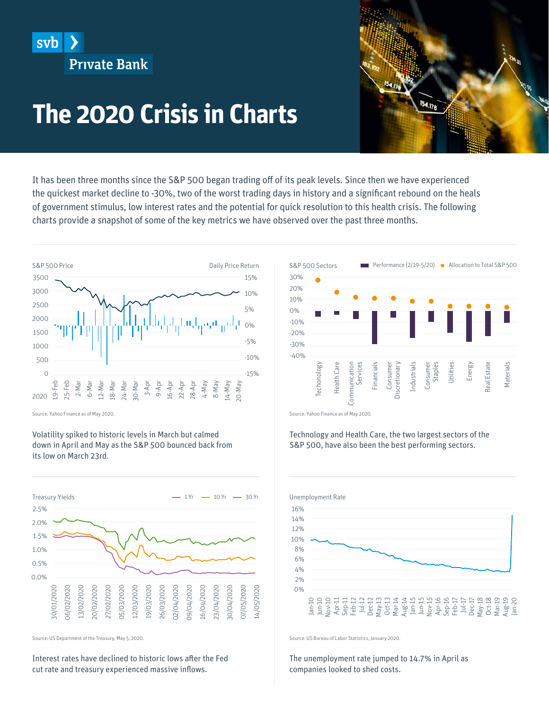

154.178

## **The 2020 Crisis in Charts**

It has been three months since the S&P 500 began trading off of its peak levels. Since then we have experienced the quickest market decline to -30%, two of the worst trading days in history and a significant rebound on the heals of government stimulus, low interest rates and the potential for quick resolution to this health crisis. The following charts provide a snapshot of some of the key metrics we have observed over the past three months.



Source: Yahoo Finance as of May 2020.

Volatility spiked to historic levels in March but calmed down in April and May as the S&P 500 bounced back from its low on March 23rd.



Source: US Department of the Treasury, May 5, 2020.

Interest rates have declined to historic lows after the Fed cut rate and treasury experienced massive inflows.



Source: Yahoo Finance as of May 2020.

Technology and Health Care, the two largest sectors of the S&P 500, have also been the best performing sectors.



Source: US Bureau of Labor Statistics, January 2020.

The unemployment rate jumped to 14.7% in April as companies looked to shed costs.